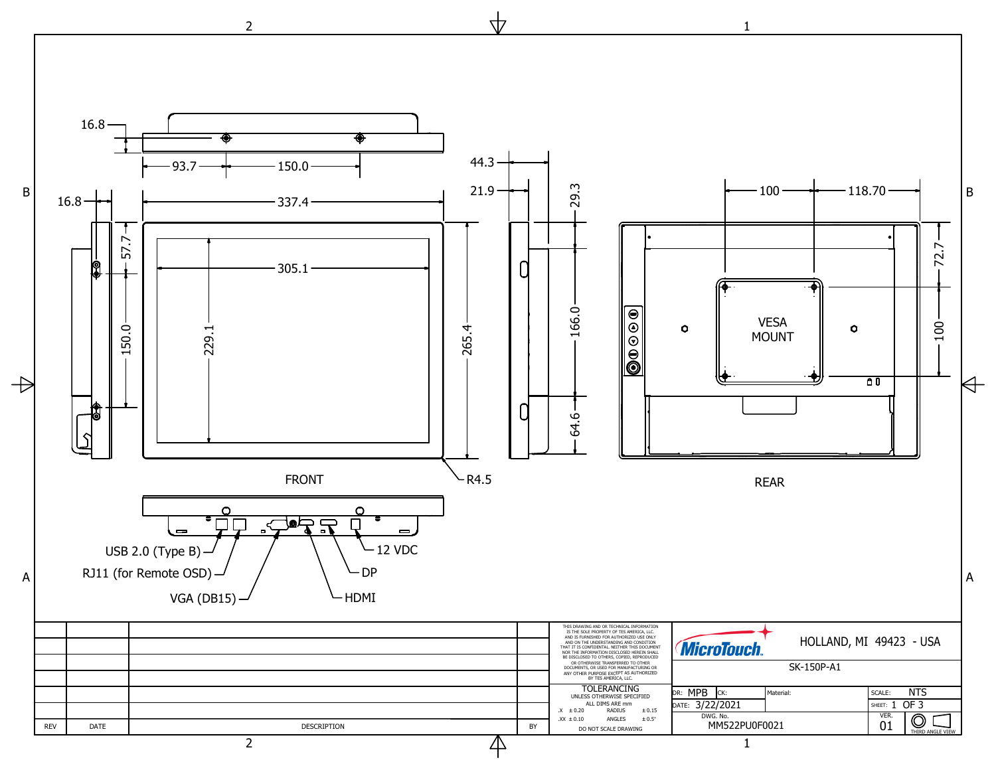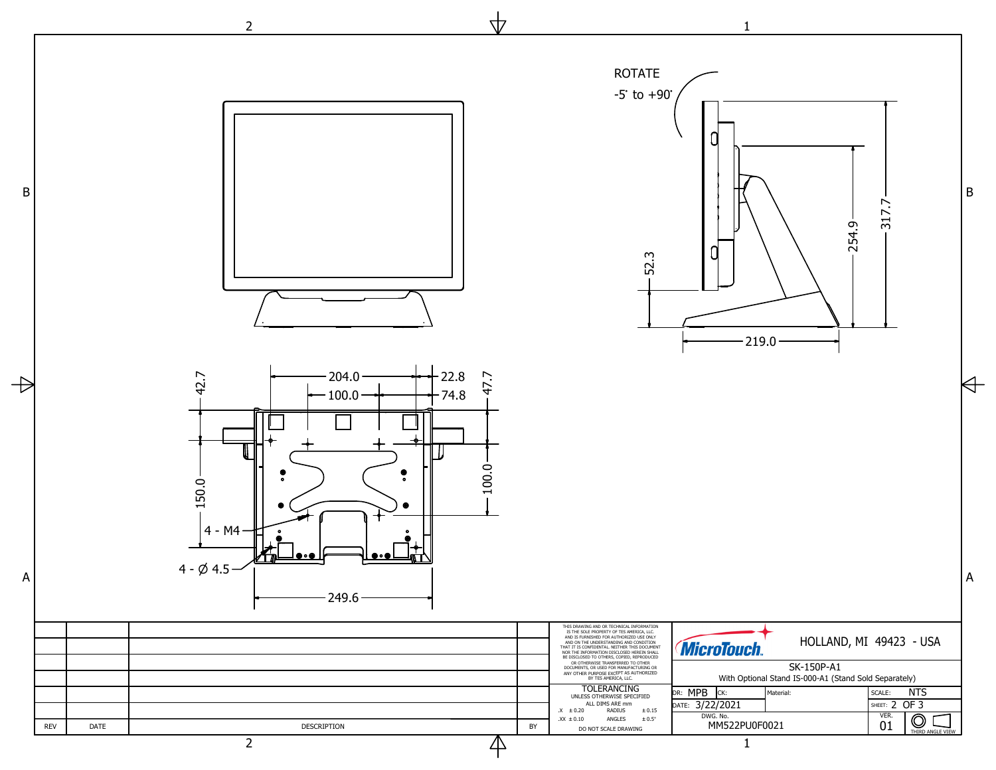